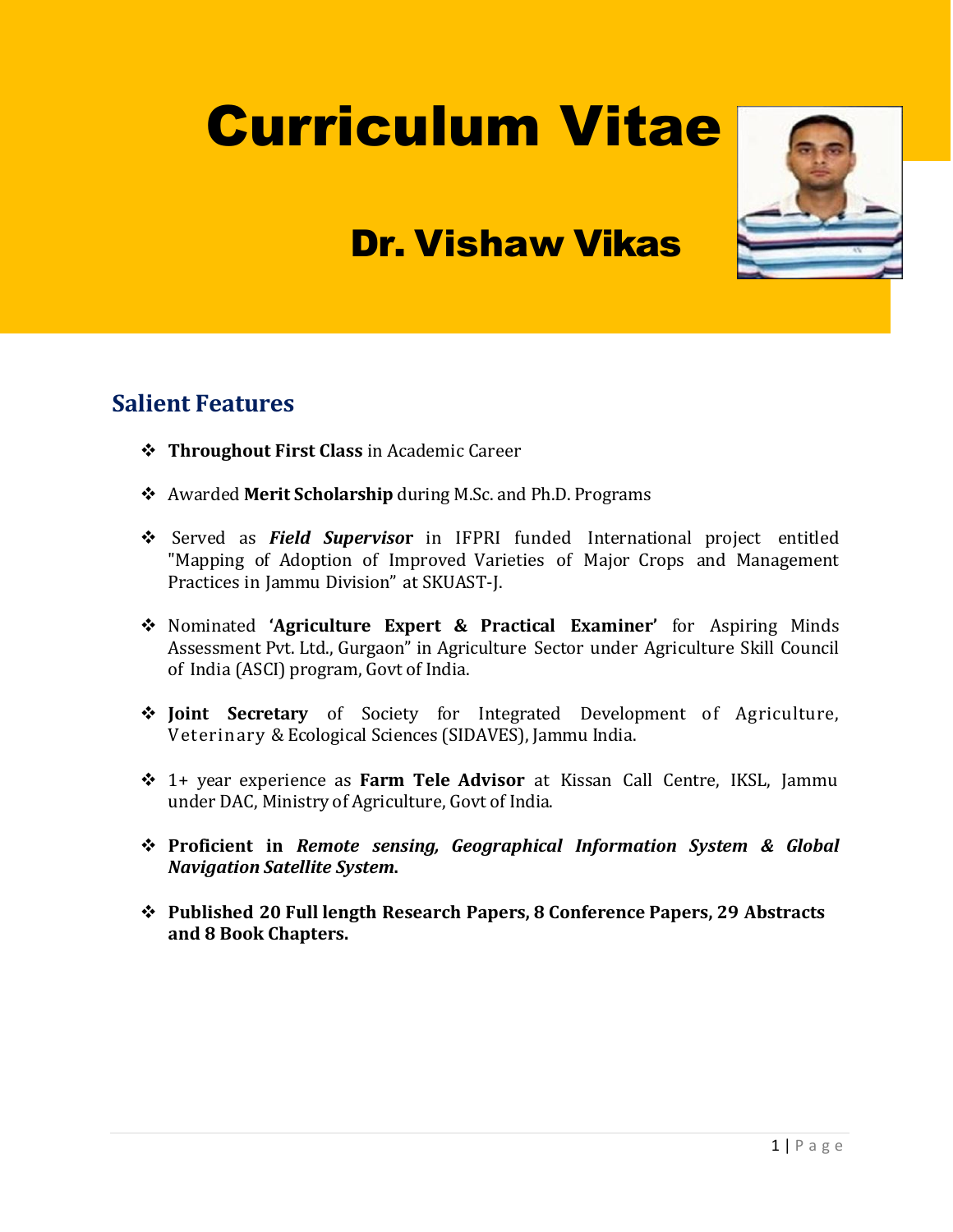# Curriculum Vitae

## Dr. Vishaw Vikas

#### **Salient Features**

- **Throughout First Class** in Academic Career
- Awarded **Merit Scholarship** during M.Sc. and Ph.D. Programs
- Served as *Field Superviso***r** in IFPRI funded International project entitled "Mapping of Adoption of Improved Varieties of Major Crops and Management Practices in Jammu Division" at SKUAST-J.
- Nominated **'Agriculture Expert & Practical Examiner'** for Aspiring Minds Assessment Pvt. Ltd., Gurgaon" in Agriculture Sector under Agriculture Skill Council of India (ASCI) program, Govt of India.
- **Joint Secretary** of Society for Integrated Development of Agriculture, Veterinary & Ecological Sciences (SIDAVES), Jammu India.
- 1+ year experience as **Farm Tele Advisor** at Kissan Call Centre, IKSL, Jammu under DAC, Ministry of Agriculture, Govt of India.
- **Proficient in** *Remote sensing, Geographical Information System & Global Navigation Satellite System***.**
- **Published 20 Full length Research Papers, 8 Conference Papers, 29 Abstracts and 8 Book Chapters.**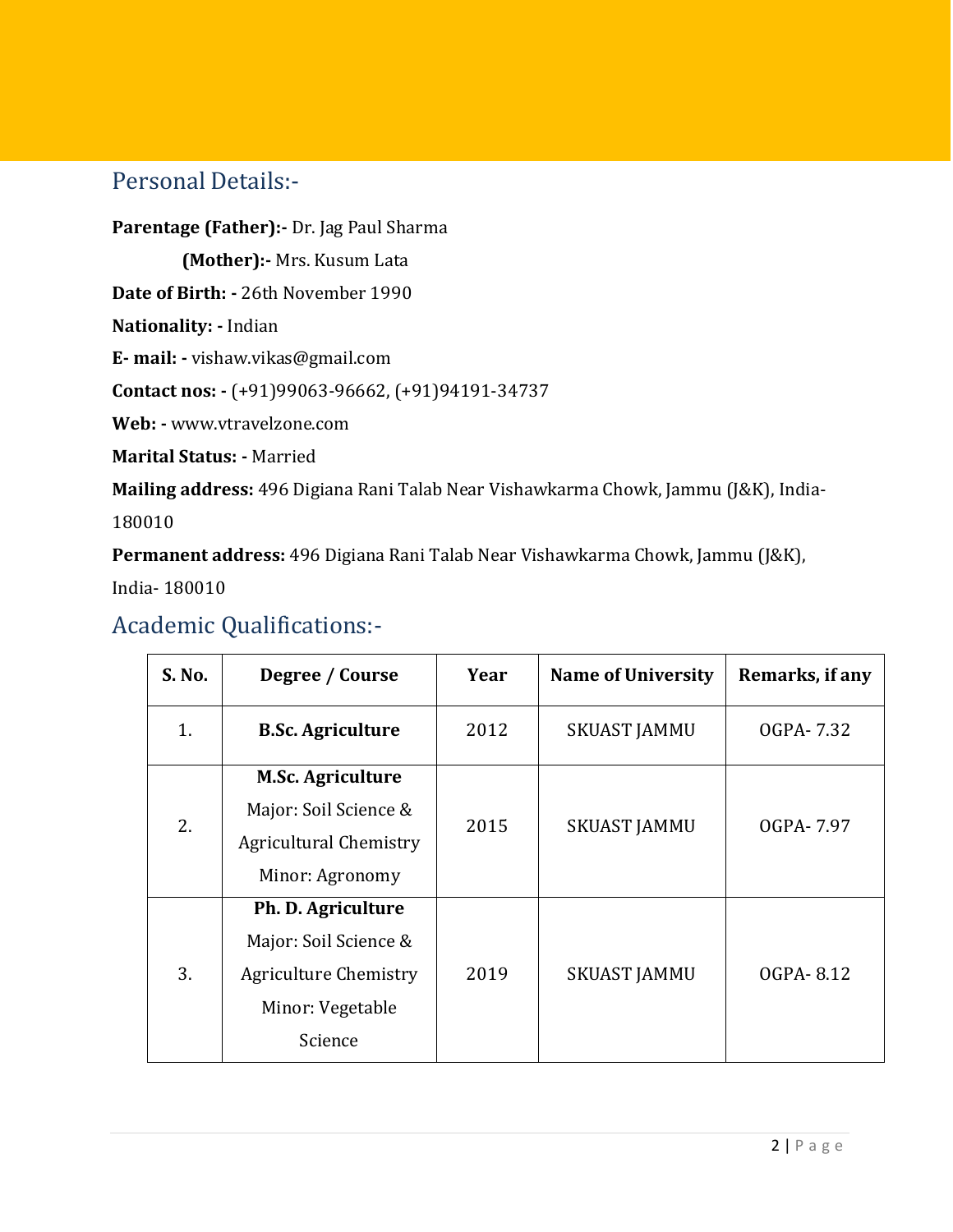#### Personal Details:-

**Parentage (Father):-** Dr. Jag Paul Sharma

**(Mother):-** Mrs. Kusum Lata

**Date of Birth: -** 26th November 1990

**Nationality: -** Indian

**E- mail: -** vishaw.vikas@gmail.com

**Contact nos: -** (+91)99063-96662, (+91)94191-34737

**Web: -** www.vtravelzone.com

**Marital Status: -** Married

**Mailing address:** 496 Digiana Rani Talab Near Vishawkarma Chowk, Jammu (J&K), India-

180010

**Permanent address:** 496 Digiana Rani Talab Near Vishawkarma Chowk, Jammu (J&K),

India- 180010

#### Academic Qualifications:-

| S. No. | Degree / Course                                                                                            | Year | <b>Name of University</b> | Remarks, if any |
|--------|------------------------------------------------------------------------------------------------------------|------|---------------------------|-----------------|
| 1.     | <b>B.Sc. Agriculture</b>                                                                                   | 2012 | <b>SKUAST JAMMU</b>       | OGPA-7.32       |
| 2.     | <b>M.Sc. Agriculture</b><br>Major: Soil Science &<br><b>Agricultural Chemistry</b><br>Minor: Agronomy      | 2015 | <b>SKUAST JAMMU</b>       | OGPA-7.97       |
| 3.     | Ph. D. Agriculture<br>Major: Soil Science &<br><b>Agriculture Chemistry</b><br>Minor: Vegetable<br>Science | 2019 | <b>SKUAST JAMMU</b>       | OGPA-8.12       |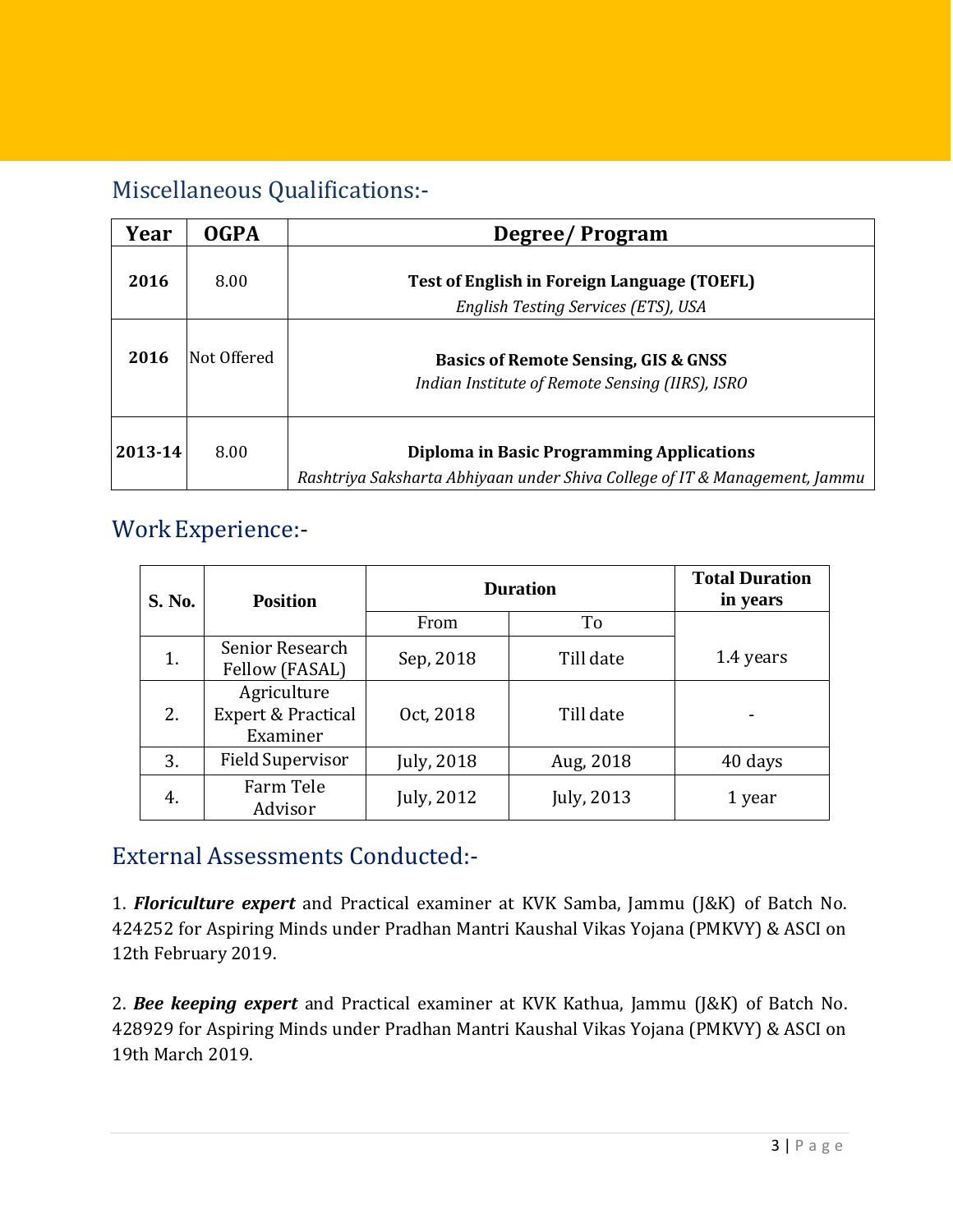### Miscellaneous Qualifications:-

| Year    | <b>OGPA</b>  | Degree/Program                                                                                                          |  |  |
|---------|--------------|-------------------------------------------------------------------------------------------------------------------------|--|--|
| 2016    | 8.00         | Test of English in Foreign Language (TOEFL)<br>English Testing Services (ETS), USA                                      |  |  |
| 2016    | lNot Offered | <b>Basics of Remote Sensing, GIS &amp; GNSS</b><br>Indian Institute of Remote Sensing (IIRS), ISRO                      |  |  |
| 2013-14 | 8.00         | Diploma in Basic Programming Applications<br>Rashtriya Saksharta Abhiyaan under Shiva College of IT & Management, Jammu |  |  |

#### WorkExperience:-

| S. No. | <b>Position</b>                                          | <b>Duration</b> | <b>Total Duration</b><br>in years |           |
|--------|----------------------------------------------------------|-----------------|-----------------------------------|-----------|
|        |                                                          | From            | To                                |           |
| 1.     | Senior Research<br>Fellow (FASAL)                        | Sep, 2018       | Till date                         | 1.4 years |
| 2.     | Agriculture<br><b>Expert &amp; Practical</b><br>Examiner | Oct, 2018       | Till date                         |           |
| 3.     | <b>Field Supervisor</b>                                  | July, 2018      | Aug, 2018                         | 40 days   |
| 4.     | Farm Tele<br>Advisor                                     | July, 2012      | July, 2013                        | 1 year    |

#### External Assessments Conducted:-

1. *Floriculture expert* and Practical examiner at KVK Samba, Jammu (J&K) of Batch No. 424252 for Aspiring Minds under Pradhan Mantri Kaushal Vikas Yojana (PMKVY) & ASCI on 12th February 2019.

2. *Bee keeping expert* and Practical examiner at KVK Kathua, Jammu (J&K) of Batch No. 428929 for Aspiring Minds under Pradhan Mantri Kaushal Vikas Yojana (PMKVY) & ASCI on 19th March 2019.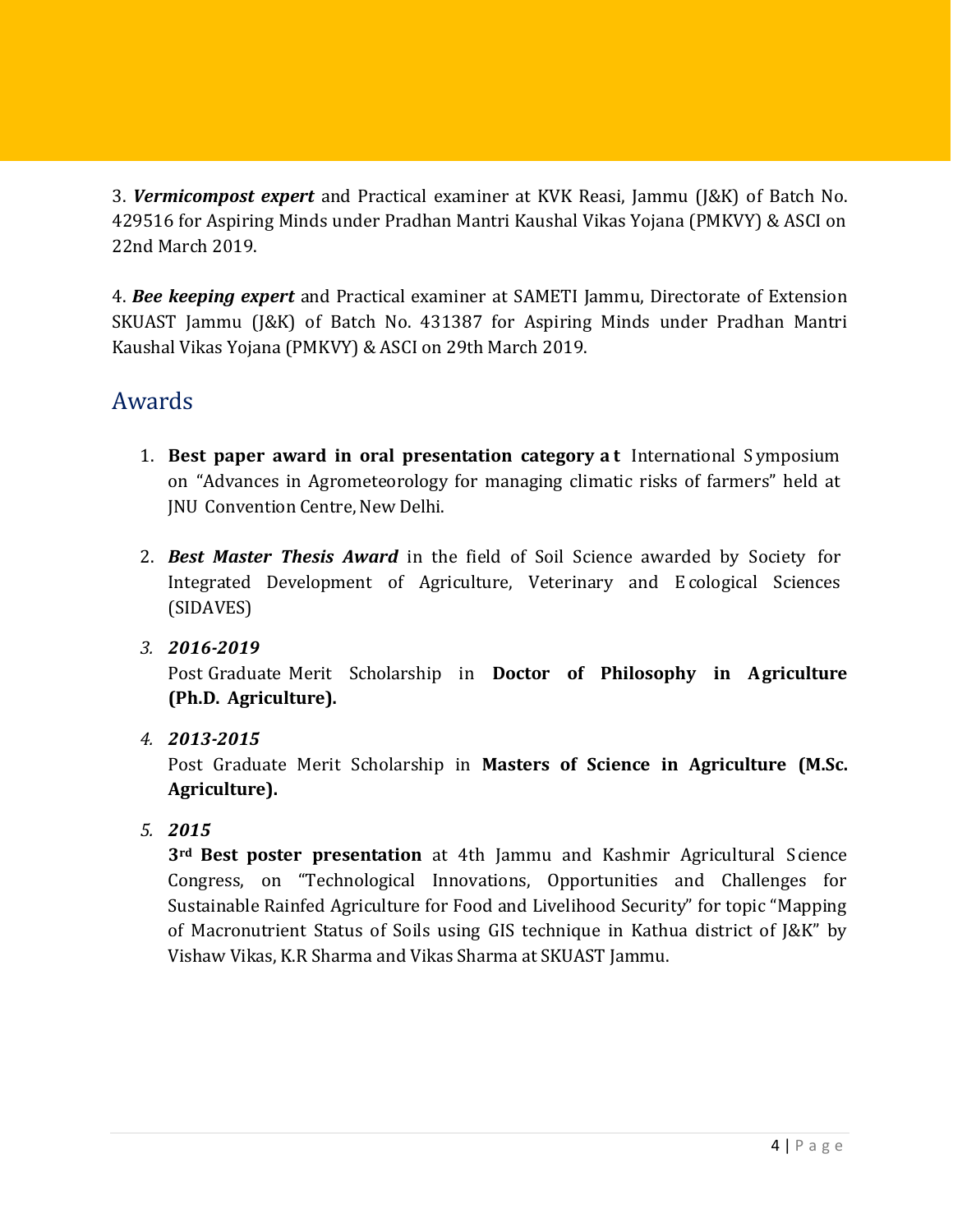3. *Vermicompost expert* and Practical examiner at KVK Reasi, Jammu (J&K) of Batch No. 429516 for Aspiring Minds under Pradhan Mantri Kaushal Vikas Yojana (PMKVY) & ASCI on 22nd March 2019.

4. *Bee keeping expert* and Practical examiner at SAMETI Jammu, Directorate of Extension SKUAST Jammu (J&K) of Batch No. 431387 for Aspiring Minds under Pradhan Mantri Kaushal Vikas Yojana (PMKVY) & ASCI on 29th March 2019.

#### Awards

- 1. **Best paper award in oral presentation category a t** International S ymposium on "Advances in Agrometeorology for managing climatic risks of farmers" held at JNU Convention Centre, New Delhi.
- 2. *Best Master Thesis Award* in the field of Soil Science awarded by Society for Integrated Development of Agriculture, Veterinary and E cological Sciences (SIDAVES)
- *3. 2016-2019*

Post Graduate Merit Scholarship in **Doctor of Philosophy in Agriculture (Ph.D. Agriculture).**

*4. 2013-2015*

Post Graduate Merit Scholarship in **Masters of Science in Agriculture (M.Sc. Agriculture).**

*5. 2015*

**3rd Best poster presentation** at 4th Jammu and Kashmir Agricultural Science Congress, on "Technological Innovations, Opportunities and Challenges for Sustainable Rainfed Agriculture for Food and Livelihood Security" for topic "Mapping of Macronutrient Status of Soils using GIS technique in Kathua district of J&K" by Vishaw Vikas, K.R Sharma and Vikas Sharma at SKUAST Jammu.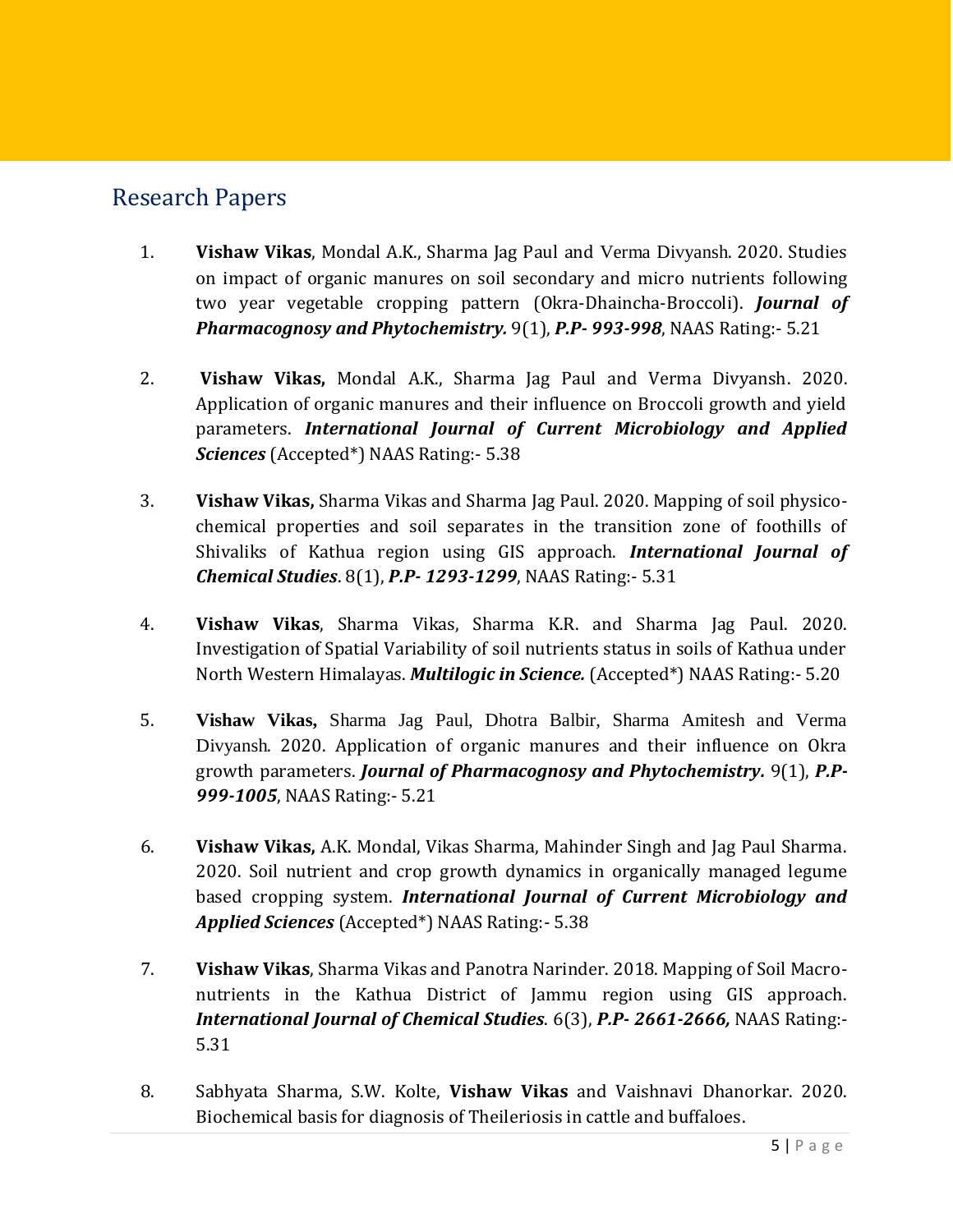#### Research Papers

- 1. **Vishaw Vikas**, Mondal A.K., Sharma Jag Paul and Verma Divyansh. 2020. Studies on impact of organic manures on soil secondary and micro nutrients following two year vegetable cropping pattern (Okra-Dhaincha-Broccoli). *Journal of Pharmacognosy and Phytochemistry.* 9(1), *P.P- 993-998*, NAAS Rating:- 5.21
- 2. **Vishaw Vikas,** Mondal A.K., Sharma Jag Paul and Verma Divyansh. 2020. Application of organic manures and their influence on Broccoli growth and yield parameters. *International Journal of Current Microbiology and Applied Sciences* (Accepted\*) NAAS Rating:- 5.38
- 3. **Vishaw Vikas,** Sharma Vikas and Sharma Jag Paul. 2020. Mapping of soil physicochemical properties and soil separates in the transition zone of foothills of Shivaliks of Kathua region using GIS approach. *International Journal of Chemical Studies*. 8(1), *P.P- 1293-1299*, NAAS Rating:- 5.31
- 4. **Vishaw Vikas**, Sharma Vikas, Sharma K.R. and Sharma Jag Paul. 2020. Investigation of Spatial Variability of soil nutrients status in soils of Kathua under North Western Himalayas. *Multilogic in Science.* (Accepted\*) NAAS Rating:- 5.20
- 5. **Vishaw Vikas,** Sharma Jag Paul, Dhotra Balbir, Sharma Amitesh and Verma Divyansh. 2020. Application of organic manures and their influence on Okra growth parameters. *Journal of Pharmacognosy and Phytochemistry.* 9(1), *P.P-999-1005*, NAAS Rating:- 5.21
- 6. **Vishaw Vikas,** A.K. Mondal, Vikas Sharma, Mahinder Singh and Jag Paul Sharma. 2020. Soil nutrient and crop growth dynamics in organically managed legume based cropping system. *International Journal of Current Microbiology and Applied Sciences* (Accepted\*) NAAS Rating:- 5.38
- 7. **Vishaw Vikas**, Sharma Vikas and Panotra Narinder. 2018. Mapping of Soil Macronutrients in the Kathua District of Jammu region using GIS approach. *International Journal of Chemical Studies*. 6(3), *P.P- 2661-2666,* NAAS Rating:- 5.31
- 8. Sabhyata Sharma, S.W. Kolte, **Vishaw Vikas** and Vaishnavi Dhanorkar. 2020. Biochemical basis for diagnosis of Theileriosis in cattle and buffaloes.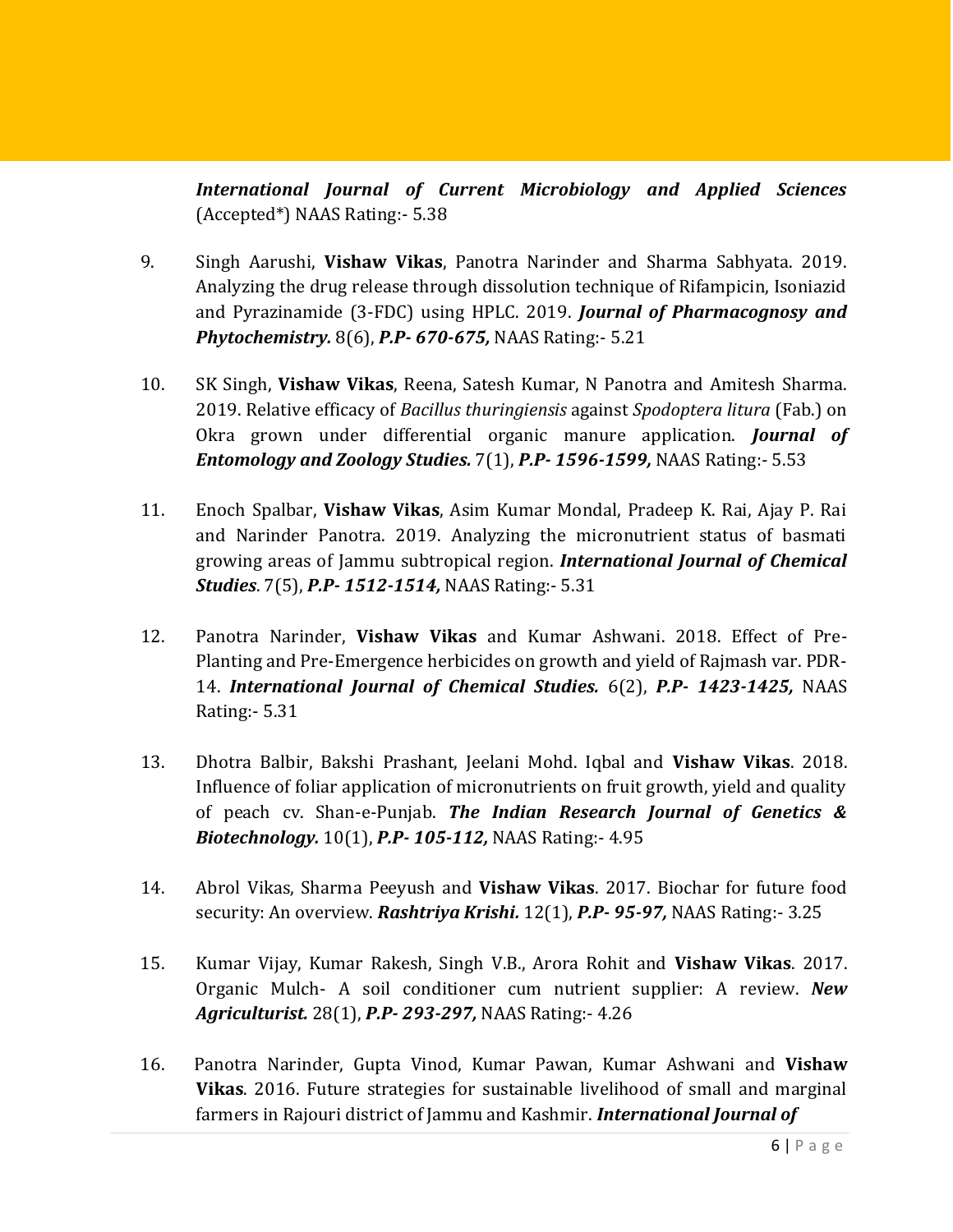*International Journal of Current Microbiology and Applied Sciences* (Accepted\*) NAAS Rating:- 5.38

- 9. Singh Aarushi, **Vishaw Vikas**, Panotra Narinder and Sharma Sabhyata. 2019. Analyzing the drug release through dissolution technique of Rifampicin, Isoniazid and Pyrazinamide (3-FDC) using HPLC. 2019. *Journal of Pharmacognosy and Phytochemistry.* 8(6), *P.P- 670-675,* NAAS Rating:- 5.21
- 10. SK Singh, **Vishaw Vikas**, Reena, Satesh Kumar, N Panotra and Amitesh Sharma. 2019. Relative efficacy of *Bacillus thuringiensis* against *Spodoptera litura* (Fab.) on Okra grown under differential organic manure application. *Journal of Entomology and Zoology Studies.* 7(1), *P.P- 1596-1599,* NAAS Rating:- 5.53
- 11. Enoch Spalbar, **Vishaw Vikas**, Asim Kumar Mondal, Pradeep K. Rai, Ajay P. Rai and Narinder Panotra. 2019. Analyzing the micronutrient status of basmati growing areas of Jammu subtropical region. *International Journal of Chemical Studies*. 7(5), *P.P- 1512-1514,* NAAS Rating:- 5.31
- 12. Panotra Narinder, **Vishaw Vikas** and Kumar Ashwani. 2018. Effect of Pre-Planting and Pre-Emergence herbicides on growth and yield of Rajmash var. PDR-14. *International Journal of Chemical Studies.* 6(2), *P.P- 1423-1425,* NAAS Rating:- 5.31
- 13. Dhotra Balbir, Bakshi Prashant, Jeelani Mohd. Iqbal and **Vishaw Vikas**. 2018. Influence of foliar application of micronutrients on fruit growth, yield and quality of peach cv. Shan-e-Punjab. *The Indian Research Journal of Genetics & Biotechnology.* 10(1), *P.P- 105-112,* NAAS Rating:- 4.95
- 14. Abrol Vikas, Sharma Peeyush and **Vishaw Vikas**. 2017. Biochar for future food security: An overview. *Rashtriya Krishi.* 12(1), *P.P- 95-97,* NAAS Rating:- 3.25
- 15. Kumar Vijay, Kumar Rakesh, Singh V.B., Arora Rohit and **Vishaw Vikas**. 2017. Organic Mulch- A soil conditioner cum nutrient supplier: A review. *New Agriculturist.* 28(1), *P.P- 293-297,* NAAS Rating:- 4.26
- 16. Panotra Narinder, Gupta Vinod, Kumar Pawan, Kumar Ashwani and **Vishaw Vikas**. 2016. Future strategies for sustainable livelihood of small and marginal farmers in Rajouri district of Jammu and Kashmir. *International Journal of*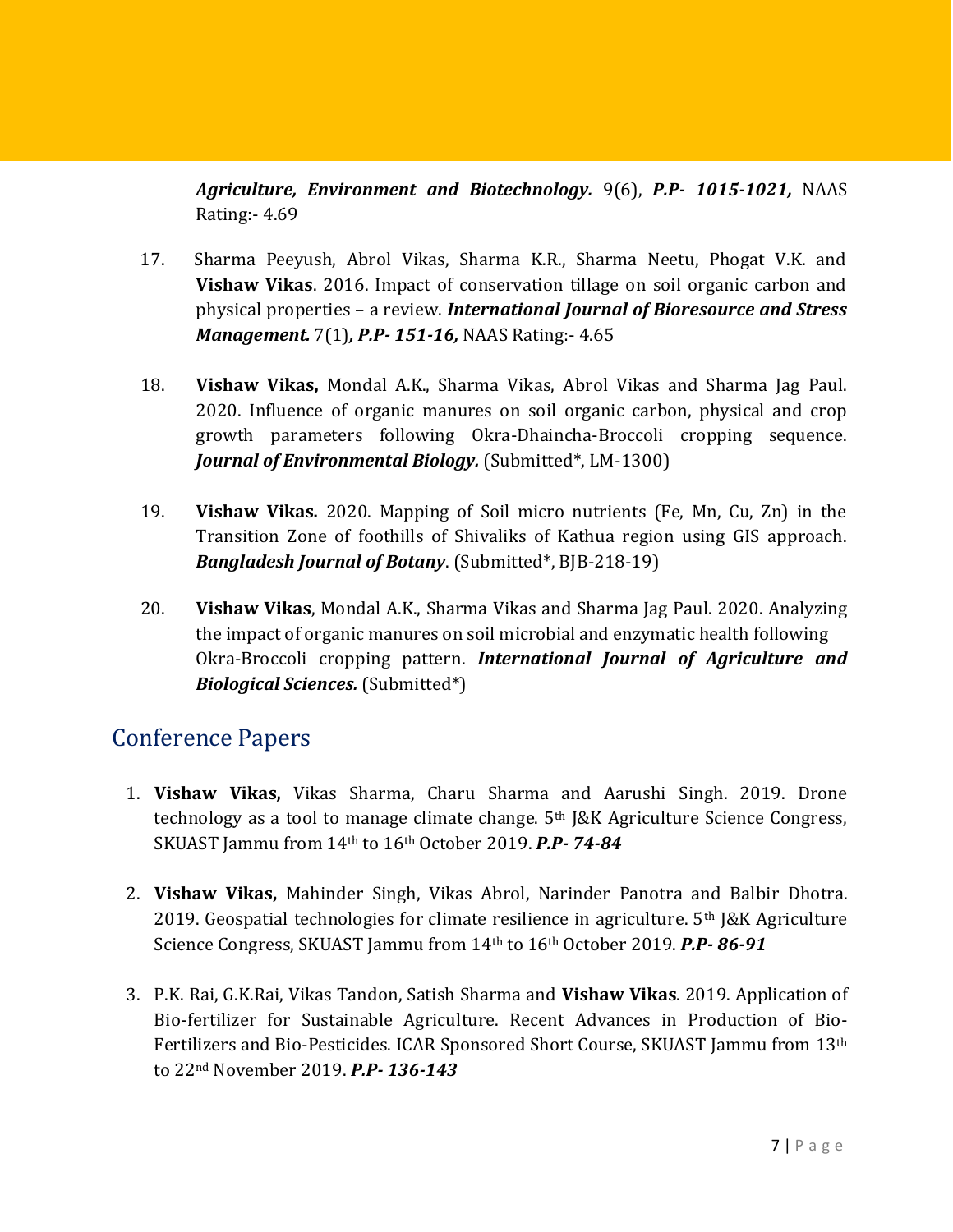*Agriculture, Environment and Biotechnology.* 9(6), *P.P- 1015-1021,* NAAS Rating:- 4.69

- 17. Sharma Peeyush, Abrol Vikas, Sharma K.R., Sharma Neetu, Phogat V.K. and **Vishaw Vikas**. 2016. Impact of conservation tillage on soil organic carbon and physical properties – a review. *International Journal of Bioresource and Stress Management.* 7(1)*, P.P- 151-16,* NAAS Rating:- 4.65
- 18. **Vishaw Vikas,** Mondal A.K., Sharma Vikas, Abrol Vikas and Sharma Jag Paul. 2020. Influence of organic manures on soil organic carbon, physical and crop growth parameters following Okra-Dhaincha-Broccoli cropping sequence. *Journal of Environmental Biology.* (Submitted\*, LM-1300)
- 19. **Vishaw Vikas.** 2020. Mapping of Soil micro nutrients (Fe, Mn, Cu, Zn) in the Transition Zone of foothills of Shivaliks of Kathua region using GIS approach. *Bangladesh Journal of Botany*. (Submitted\*, BJB-218-19)
- 20. **Vishaw Vikas**, Mondal A.K., Sharma Vikas and Sharma Jag Paul. 2020. Analyzing the impact of organic manures on soil microbial and enzymatic health following Okra-Broccoli cropping pattern. *International Journal of Agriculture and Biological Sciences.* (Submitted\*)

#### Conference Papers

- 1. **Vishaw Vikas,** Vikas Sharma, Charu Sharma and Aarushi Singh. 2019. Drone technology as a tool to manage climate change. 5th J&K Agriculture Science Congress, SKUAST Jammu from 14th to 16th October 2019. *P.P- 74-84*
- 2. **Vishaw Vikas,** Mahinder Singh, Vikas Abrol, Narinder Panotra and Balbir Dhotra. 2019. Geospatial technologies for climate resilience in agriculture.  $5<sup>th</sup>$  [&K Agriculture Science Congress, SKUAST Jammu from 14th to 16th October 2019. *P.P- 86-91*
- 3. P.K. Rai, G.K.Rai, Vikas Tandon, Satish Sharma and **Vishaw Vikas**. 2019. Application of Bio-fertilizer for Sustainable Agriculture. Recent Advances in Production of Bio-Fertilizers and Bio-Pesticides. ICAR Sponsored Short Course, SKUAST Jammu from 13th to 22nd November 2019. *P.P- 136-143*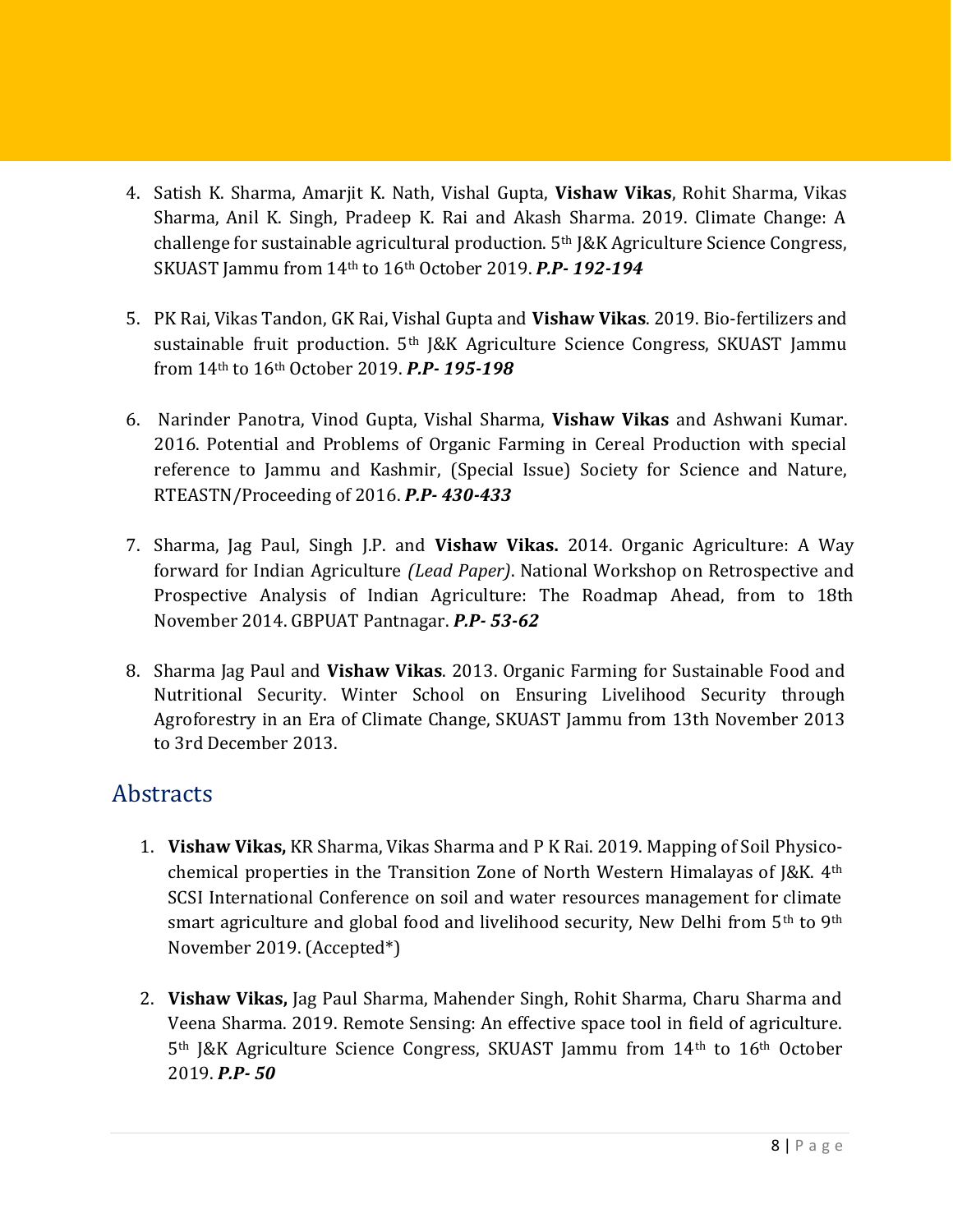- 4. Satish K. Sharma, Amarjit K. Nath, Vishal Gupta, **Vishaw Vikas**, Rohit Sharma, Vikas Sharma, Anil K. Singh, Pradeep K. Rai and Akash Sharma. 2019. Climate Change: A challenge for sustainable agricultural production. 5th J&K Agriculture Science Congress, SKUAST Jammu from 14th to 16th October 2019. *P.P- 192-194*
- 5. PK Rai, Vikas Tandon, GK Rai, Vishal Gupta and **Vishaw Vikas**. 2019. Bio-fertilizers and sustainable fruit production. 5th J&K Agriculture Science Congress, SKUAST Jammu from 14th to 16th October 2019. *P.P- 195-198*
- 6. Narinder Panotra, Vinod Gupta, Vishal Sharma, **Vishaw Vikas** and Ashwani Kumar. 2016. Potential and Problems of Organic Farming in Cereal Production with special reference to Jammu and Kashmir, (Special Issue) Society for Science and Nature, RTEASTN/Proceeding of 2016. *P.P- 430-433*
- 7. Sharma, Jag Paul, Singh J.P. and **Vishaw Vikas.** 2014. Organic Agriculture: A Way forward for Indian Agriculture *(Lead Paper)*. National Workshop on Retrospective and Prospective Analysis of Indian Agriculture: The Roadmap Ahead, from to 18th November 2014. GBPUAT Pantnagar. *P.P- 53-62*
- 8. Sharma Jag Paul and **Vishaw Vikas**. 2013. Organic Farming for Sustainable Food and Nutritional Security. Winter School on Ensuring Livelihood Security through Agroforestry in an Era of Climate Change, SKUAST Jammu from 13th November 2013 to 3rd December 2013.

#### **Abstracts**

- 1. **Vishaw Vikas,** KR Sharma, Vikas Sharma and P K Rai. 2019. Mapping of Soil Physicochemical properties in the Transition Zone of North Western Himalayas of J&K. 4th SCSI International Conference on soil and water resources management for climate smart agriculture and global food and livelihood security, New Delhi from 5<sup>th</sup> to 9<sup>th</sup> November 2019. (Accepted\*)
- 2. **Vishaw Vikas,** Jag Paul Sharma, Mahender Singh, Rohit Sharma, Charu Sharma and Veena Sharma. 2019. Remote Sensing: An effective space tool in field of agriculture. 5th J&K Agriculture Science Congress, SKUAST Jammu from 14th to 16th October 2019. *P.P- 50*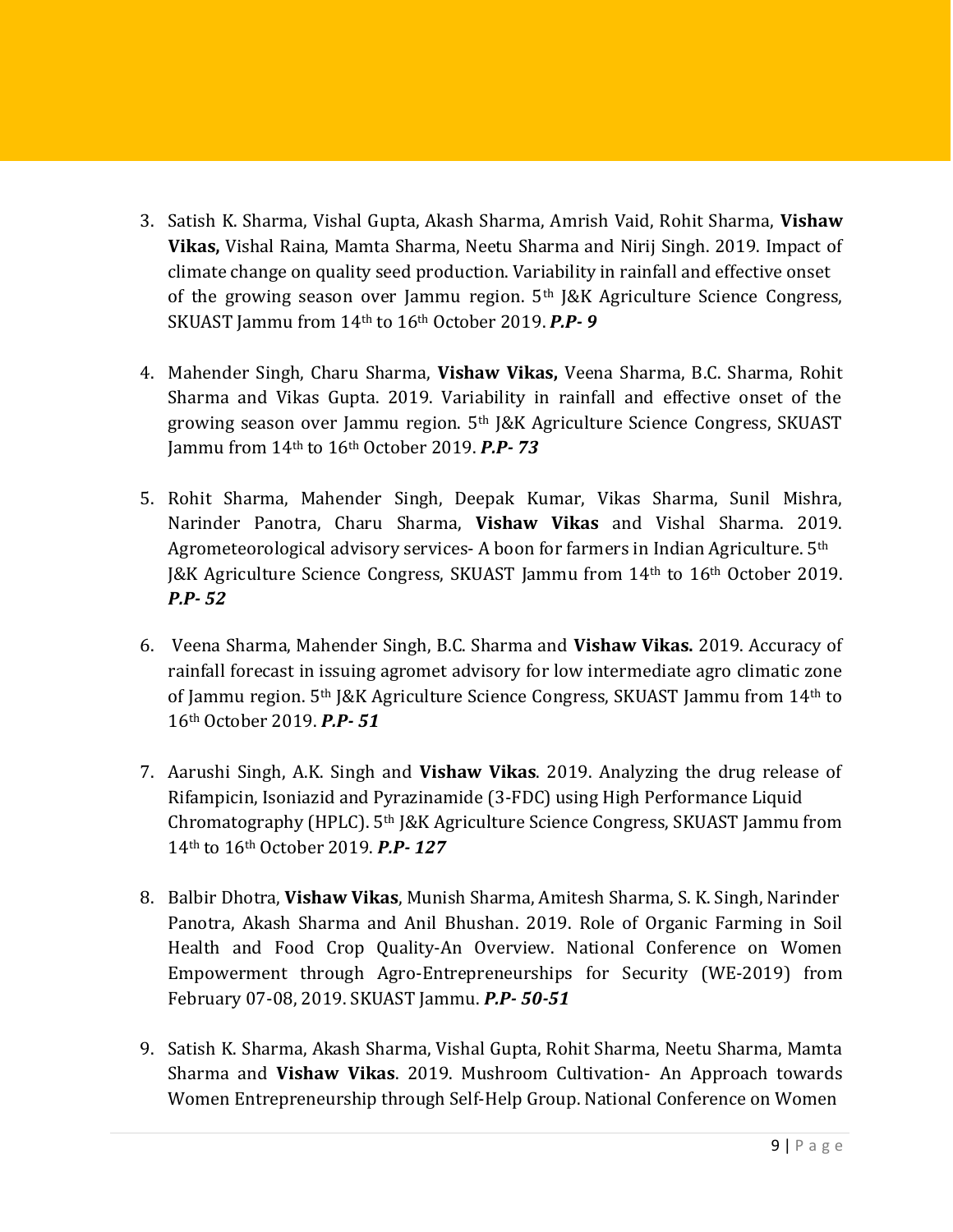- 3. Satish K. Sharma, Vishal Gupta, Akash Sharma, Amrish Vaid, Rohit Sharma, **Vishaw Vikas,** Vishal Raina, Mamta Sharma, Neetu Sharma and Nirij Singh. 2019. Impact of climate change on quality seed production. Variability in rainfall and effective onset of the growing season over Jammu region. 5th J&K Agriculture Science Congress, SKUAST Jammu from 14th to 16th October 2019. *P.P- 9*
- 4. Mahender Singh, Charu Sharma, **Vishaw Vikas,** Veena Sharma, B.C. Sharma, Rohit Sharma and Vikas Gupta. 2019. Variability in rainfall and effective onset of the growing season over Jammu region. 5th J&K Agriculture Science Congress, SKUAST Jammu from 14th to 16th October 2019. *P.P- 73*
- 5. Rohit Sharma, Mahender Singh, Deepak Kumar, Vikas Sharma, Sunil Mishra, Narinder Panotra, Charu Sharma, **Vishaw Vikas** and Vishal Sharma. 2019. Agrometeorological advisory services- A boon for farmers in Indian Agriculture. 5<sup>th</sup> J&K Agriculture Science Congress, SKUAST Jammu from 14th to 16th October 2019. *P.P- 52*
- 6. Veena Sharma, Mahender Singh, B.C. Sharma and **Vishaw Vikas.** 2019. Accuracy of rainfall forecast in issuing agromet advisory for low intermediate agro climatic zone of Jammu region. 5th J&K Agriculture Science Congress, SKUAST Jammu from 14th to 16th October 2019. *P.P- 51*
- 7. Aarushi Singh, A.K. Singh and **Vishaw Vikas**. 2019. Analyzing the drug release of Rifampicin, Isoniazid and Pyrazinamide (3-FDC) using High Performance Liquid Chromatography (HPLC). 5th J&K Agriculture Science Congress, SKUAST Jammu from 14th to 16th October 2019. *P.P- 127*
- 8. Balbir Dhotra, **Vishaw Vikas**, Munish Sharma, Amitesh Sharma, S. K. Singh, Narinder Panotra, Akash Sharma and Anil Bhushan. 2019. Role of Organic Farming in Soil Health and Food Crop Quality-An Overview. National Conference on Women Empowerment through Agro-Entrepreneurships for Security (WE-2019) from February 07-08, 2019. SKUAST Jammu. *P.P- 50-51*
- 9. Satish K. Sharma, Akash Sharma, Vishal Gupta, Rohit Sharma, Neetu Sharma, Mamta Sharma and **Vishaw Vikas**. 2019. Mushroom Cultivation- An Approach towards Women Entrepreneurship through Self-Help Group. National Conference on Women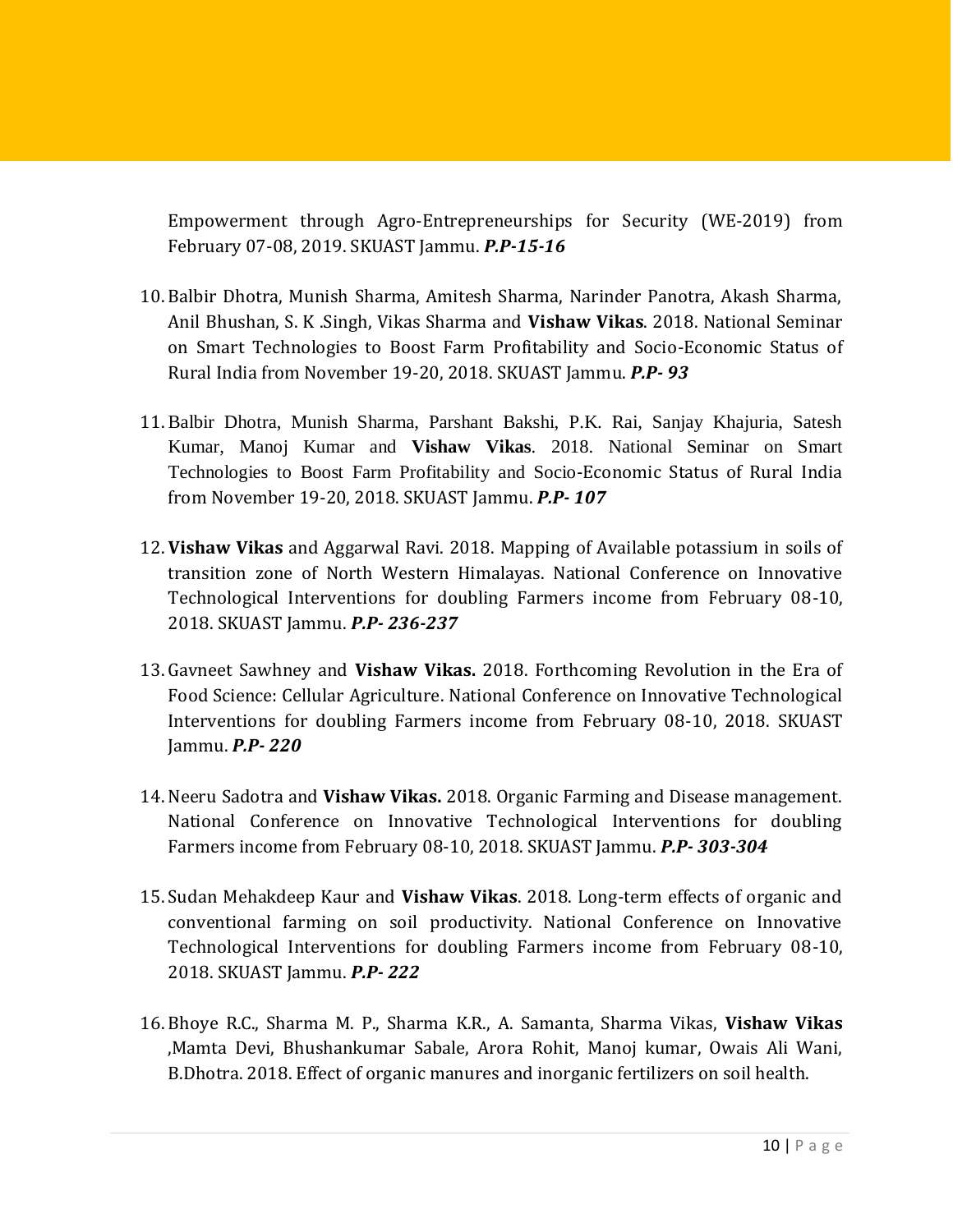Empowerment through Agro-Entrepreneurships for Security (WE-2019) from February 07-08, 2019. SKUAST Jammu. *P.P-15-16*

- 10. Balbir Dhotra, Munish Sharma, Amitesh Sharma, Narinder Panotra, Akash Sharma, Anil Bhushan, S. K .Singh, Vikas Sharma and **Vishaw Vikas**. 2018. National Seminar on Smart Technologies to Boost Farm Profitability and Socio-Economic Status of Rural India from November 19-20, 2018. SKUAST Jammu. *P.P- 93*
- 11. Balbir Dhotra, Munish Sharma, Parshant Bakshi, P.K. Rai, Sanjay Khajuria, Satesh Kumar, Manoj Kumar and **Vishaw Vikas**. 2018. National Seminar on Smart Technologies to Boost Farm Profitability and Socio-Economic Status of Rural India from November 19-20, 2018. SKUAST Jammu. *P.P- 107*
- 12. **Vishaw Vikas** and Aggarwal Ravi. 2018. Mapping of Available potassium in soils of transition zone of North Western Himalayas. National Conference on Innovative Technological Interventions for doubling Farmers income from February 08-10, 2018. SKUAST Jammu. *P.P- 236-237*
- 13. Gavneet Sawhney and **Vishaw Vikas.** 2018. Forthcoming Revolution in the Era of Food Science: Cellular Agriculture. National Conference on Innovative Technological Interventions for doubling Farmers income from February 08-10, 2018. SKUAST Jammu. *P.P- 220*
- 14. Neeru Sadotra and **Vishaw Vikas.** 2018. Organic Farming and Disease management. National Conference on Innovative Technological Interventions for doubling Farmers income from February 08-10, 2018. SKUAST Jammu. *P.P- 303-304*
- 15.Sudan Mehakdeep Kaur and **Vishaw Vikas**. 2018. Long-term effects of organic and conventional farming on soil productivity. National Conference on Innovative Technological Interventions for doubling Farmers income from February 08-10, 2018. SKUAST Jammu. *P.P- 222*
- 16. Bhoye R.C., Sharma M. P., Sharma K.R., A. Samanta, Sharma Vikas, **Vishaw Vikas** ,Mamta Devi, Bhushankumar Sabale, Arora Rohit, Manoj kumar, Owais Ali Wani, B.Dhotra. 2018. Effect of organic manures and inorganic fertilizers on soil health.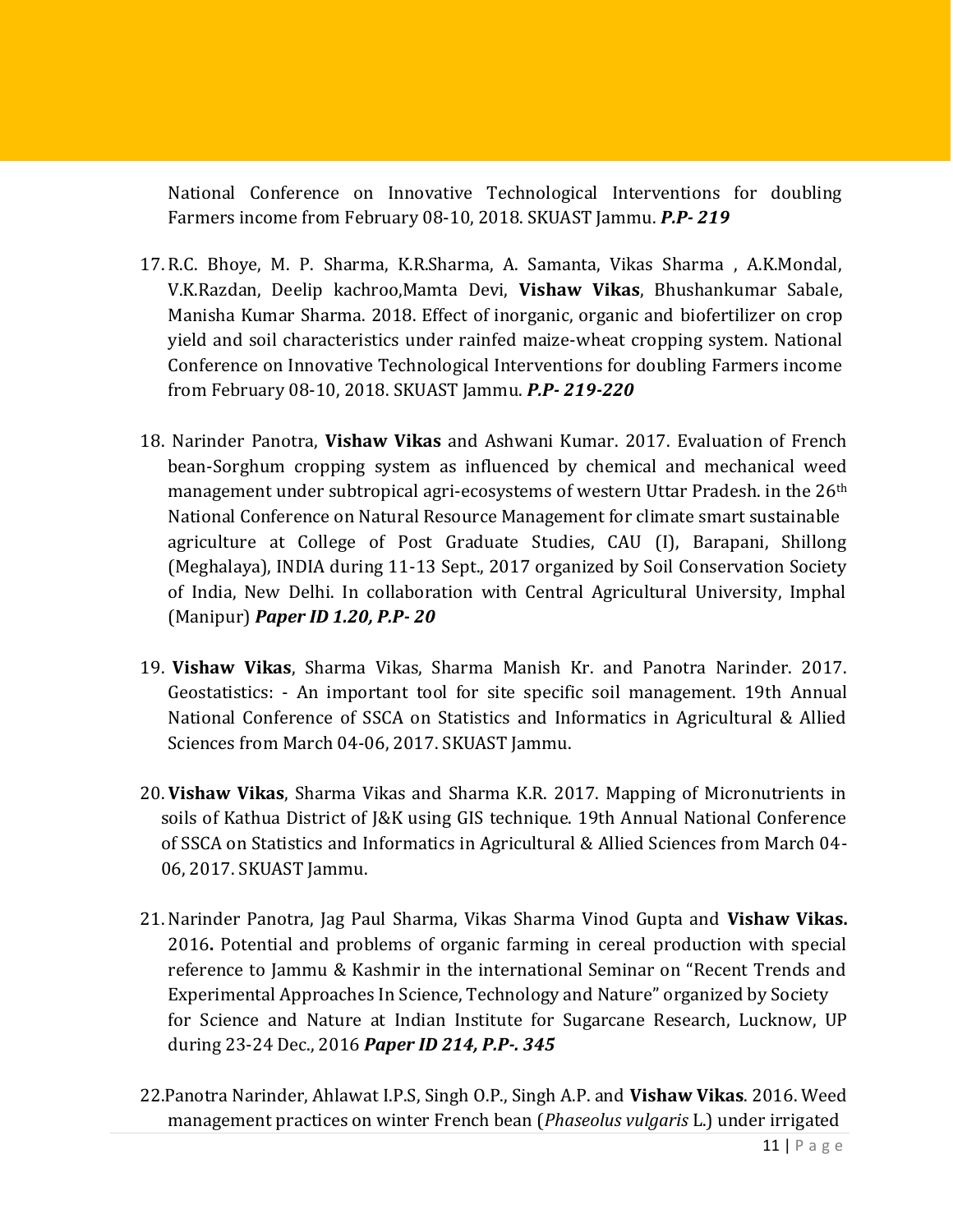National Conference on Innovative Technological Interventions for doubling Farmers income from February 08-10, 2018. SKUAST Jammu. *P.P- 219*

- 17. R.C. Bhoye, M. P. Sharma, K.R.Sharma, A. Samanta, Vikas Sharma , A.K.Mondal, V.K.Razdan, Deelip kachroo,Mamta Devi, **Vishaw Vikas**, Bhushankumar Sabale, Manisha Kumar Sharma. 2018. Effect of inorganic, organic and biofertilizer on crop yield and soil characteristics under rainfed maize-wheat cropping system. National Conference on Innovative Technological Interventions for doubling Farmers income from February 08-10, 2018. SKUAST Jammu. *P.P- 219-220*
- 18. Narinder Panotra, **Vishaw Vikas** and Ashwani Kumar. 2017. Evaluation of French bean-Sorghum cropping system as influenced by chemical and mechanical weed management under subtropical agri-ecosystems of western Uttar Pradesh. in the  $26<sup>th</sup>$ National Conference on Natural Resource Management for climate smart sustainable agriculture at College of Post Graduate Studies, CAU (I), Barapani, Shillong (Meghalaya), INDIA during 11-13 Sept., 2017 organized by Soil Conservation Society of India, New Delhi. In collaboration with Central Agricultural University, Imphal (Manipur) *Paper ID 1.20, P.P- 20*
- 19. **Vishaw Vikas**, Sharma Vikas, Sharma Manish Kr. and Panotra Narinder. 2017. Geostatistics: - An important tool for site specific soil management. 19th Annual National Conference of SSCA on Statistics and Informatics in Agricultural & Allied Sciences from March 04-06, 2017. SKUAST Jammu.
- 20. **Vishaw Vikas**, Sharma Vikas and Sharma K.R. 2017. Mapping of Micronutrients in soils of Kathua District of J&K using GIS technique. 19th Annual National Conference of SSCA on Statistics and Informatics in Agricultural & Allied Sciences from March 04- 06, 2017. SKUAST Jammu.
- 21. Narinder Panotra, Jag Paul Sharma, Vikas Sharma Vinod Gupta and **Vishaw Vikas.** 2016**.** Potential and problems of organic farming in cereal production with special reference to Jammu & Kashmir in the international Seminar on "Recent Trends and Experimental Approaches In Science, Technology and Nature" organized by Society for Science and Nature at Indian Institute for Sugarcane Research, Lucknow, UP during 23-24 Dec., 2016 *Paper ID 214, P.P-. 345*
- 22.Panotra Narinder, Ahlawat I.P.S, Singh O.P., Singh A.P. and **Vishaw Vikas**. 2016. Weed management practices on winter French bean (*Phaseolus vulgaris* L.) under irrigated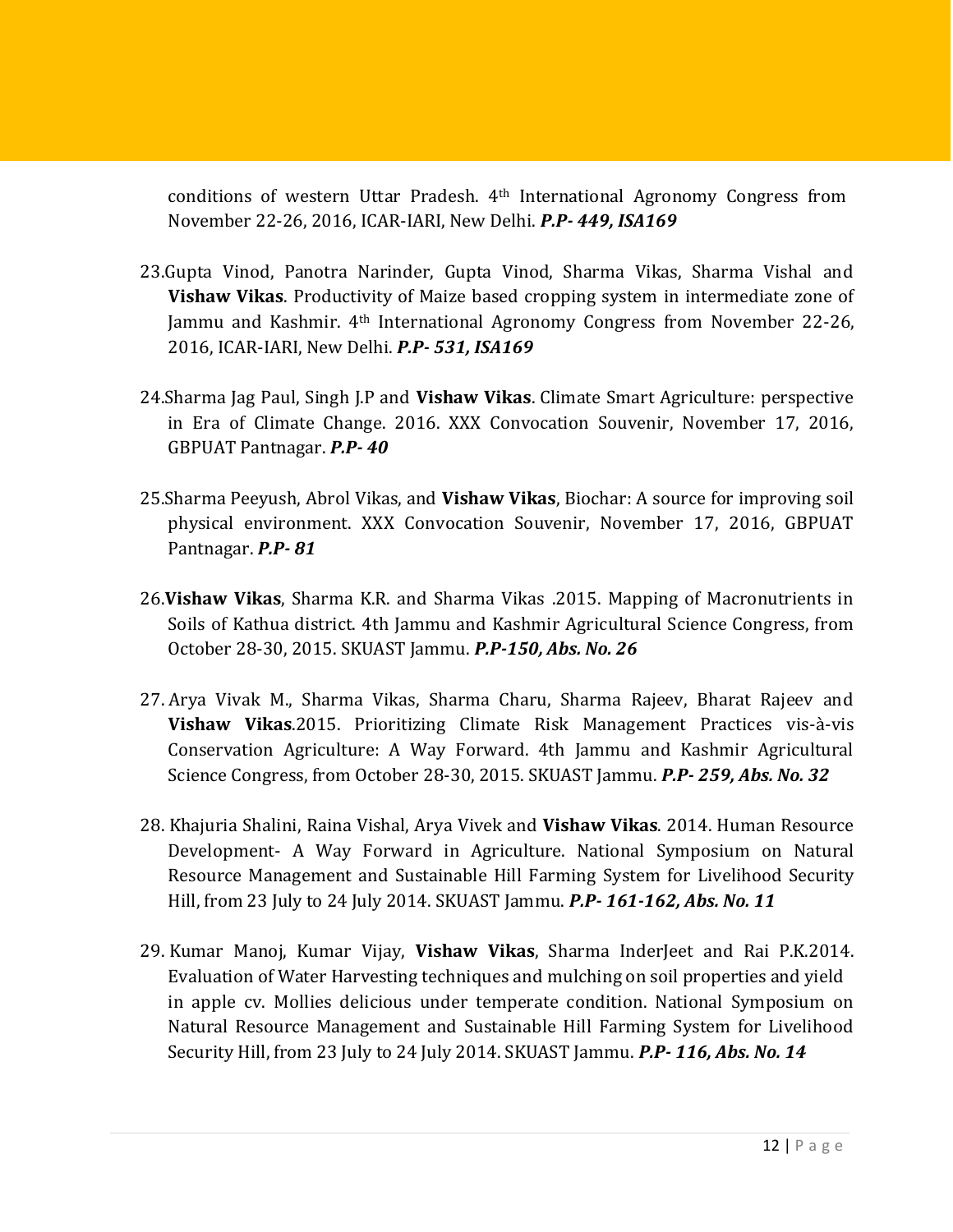conditions of western Uttar Pradesh. 4th International Agronomy Congress from November 22-26, 2016, ICAR-IARI, New Delhi. *P.P- 449, ISA169*

- 23.Gupta Vinod, Panotra Narinder, Gupta Vinod, Sharma Vikas, Sharma Vishal and **Vishaw Vikas**. Productivity of Maize based cropping system in intermediate zone of Jammu and Kashmir. 4th International Agronomy Congress from November 22-26, 2016, ICAR-IARI, New Delhi. *P.P- 531, ISA169*
- 24.Sharma Jag Paul, Singh J.P and **Vishaw Vikas**. Climate Smart Agriculture: perspective in Era of Climate Change. 2016. XXX Convocation Souvenir, November 17, 2016, GBPUAT Pantnagar. *P.P- 40*
- 25.Sharma Peeyush, Abrol Vikas, and **Vishaw Vikas**, Biochar: A source for improving soil physical environment. XXX Convocation Souvenir, November 17, 2016, GBPUAT Pantnagar. *P.P- 81*
- 26.**Vishaw Vikas**, Sharma K.R. and Sharma Vikas .2015. Mapping of Macronutrients in Soils of Kathua district. 4th Jammu and Kashmir Agricultural Science Congress, from October 28-30, 2015. SKUAST Jammu. *P.P-150, Abs. No. 26*
- 27. Arya Vivak M., Sharma Vikas, Sharma Charu, Sharma Rajeev, Bharat Rajeev and **Vishaw Vikas**.2015. Prioritizing Climate Risk Management Practices vis-à-vis Conservation Agriculture: A Way Forward. 4th Jammu and Kashmir Agricultural Science Congress, from October 28-30, 2015. SKUAST Jammu. *P.P- 259, Abs. No. 32*
- 28. Khajuria Shalini, Raina Vishal, Arya Vivek and **Vishaw Vikas**. 2014. Human Resource Development- A Way Forward in Agriculture. National Symposium on Natural Resource Management and Sustainable Hill Farming System for Livelihood Security Hill, from 23 July to 24 July 2014. SKUAST Jammu. *P.P- 161-162, Abs. No. 11*
- 29. Kumar Manoj, Kumar Vijay, **Vishaw Vikas**, Sharma InderJeet and Rai P.K.2014. Evaluation of Water Harvesting techniques and mulching on soil properties and yield in apple cv. Mollies delicious under temperate condition. National Symposium on Natural Resource Management and Sustainable Hill Farming System for Livelihood Security Hill, from 23 July to 24 July 2014. SKUAST Jammu. *P.P- 116, Abs. No. 14*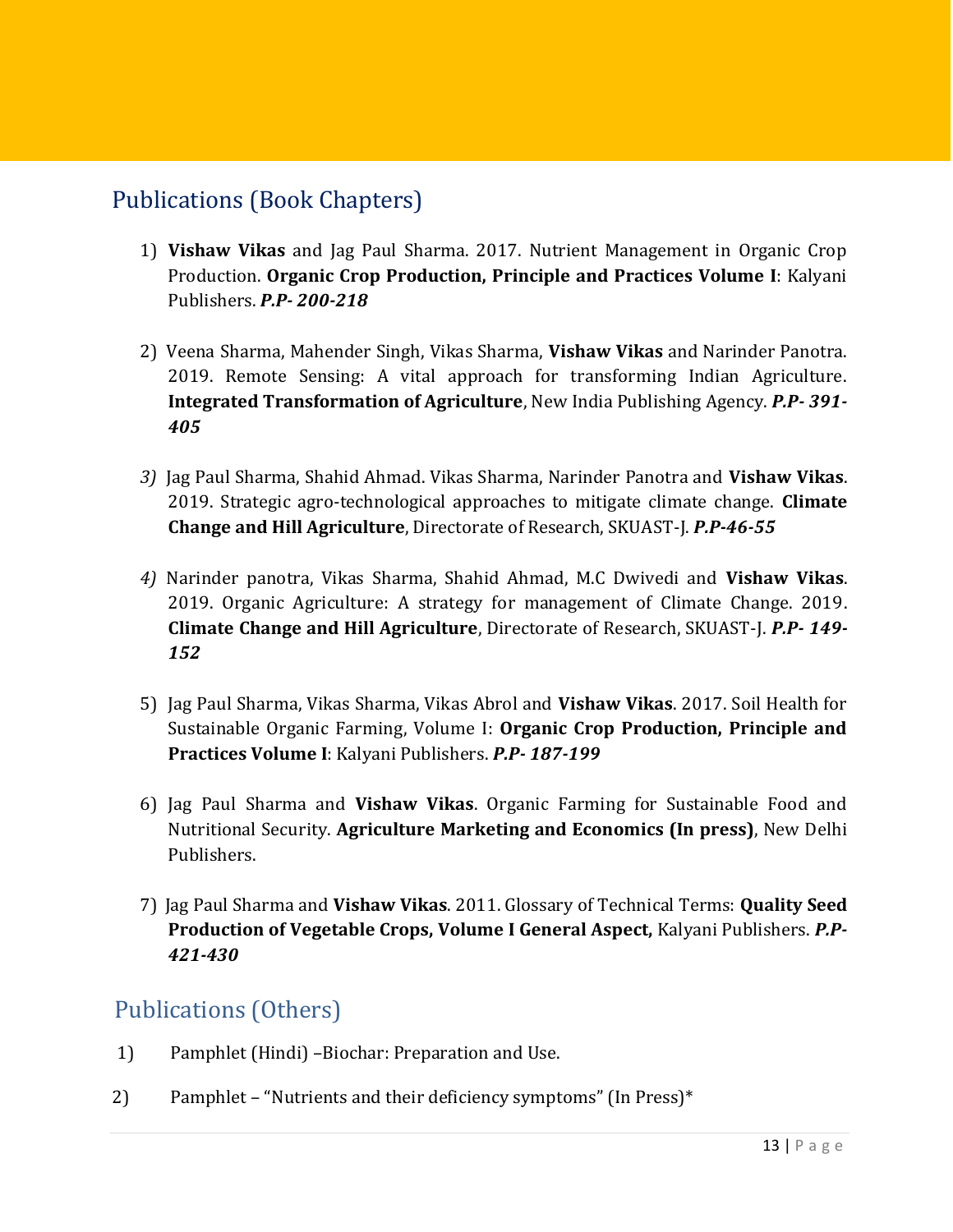#### Publications (Book Chapters)

- 1) **Vishaw Vikas** and Jag Paul Sharma. 2017. Nutrient Management in Organic Crop Production. **Organic Crop Production, Principle and Practices Volume I**: Kalyani Publishers. *P.P- 200-218*
- 2) Veena Sharma, Mahender Singh, Vikas Sharma, **Vishaw Vikas** and Narinder Panotra. 2019. Remote Sensing: A vital approach for transforming Indian Agriculture. **Integrated Transformation of Agriculture**, New India Publishing Agency. *P.P- 391- 405*
- *3)* Jag Paul Sharma, Shahid Ahmad. Vikas Sharma, Narinder Panotra and **Vishaw Vikas**. 2019. Strategic agro-technological approaches to mitigate climate change. **Climate Change and Hill Agriculture**, Directorate of Research, SKUAST-J. *P.P-46-55*
- *4)* Narinder panotra, Vikas Sharma, Shahid Ahmad, M.C Dwivedi and **Vishaw Vikas**. 2019. Organic Agriculture: A strategy for management of Climate Change. 2019. **Climate Change and Hill Agriculture**, Directorate of Research, SKUAST-J. *P.P- 149- 152*
- 5) Jag Paul Sharma, Vikas Sharma, Vikas Abrol and **Vishaw Vikas**. 2017. Soil Health for Sustainable Organic Farming, Volume I: **Organic Crop Production, Principle and Practices Volume I**: Kalyani Publishers. *P.P- 187-199*
- 6) Jag Paul Sharma and **Vishaw Vikas**. Organic Farming for Sustainable Food and Nutritional Security. **Agriculture Marketing and Economics (In press)**, New Delhi Publishers.
- 7) Jag Paul Sharma and **Vishaw Vikas**. 2011. Glossary of Technical Terms: **Quality Seed Production of Vegetable Crops, Volume I General Aspect,** Kalyani Publishers. *P.P-421-430*

#### Publications (Others)

- 1) Pamphlet (Hindi) –Biochar: Preparation and Use.
- 2) Pamphlet "Nutrients and their deficiency symptoms" (In Press)\*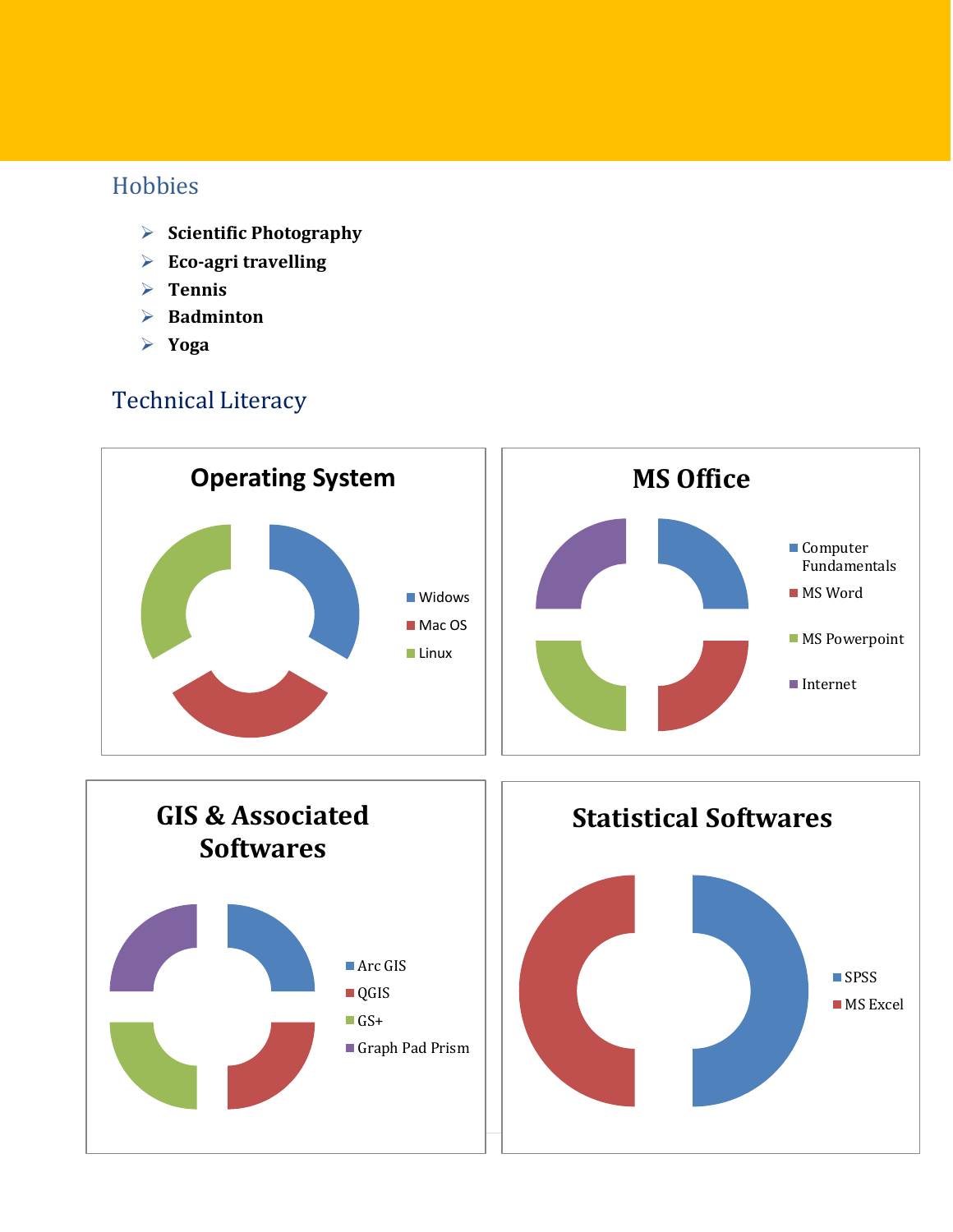#### Hobbies

- **Scientific Photography**
- **Eco-agri travelling**
- **Tennis**
- **Badminton**
- **Yoga**

### Technical Literacy

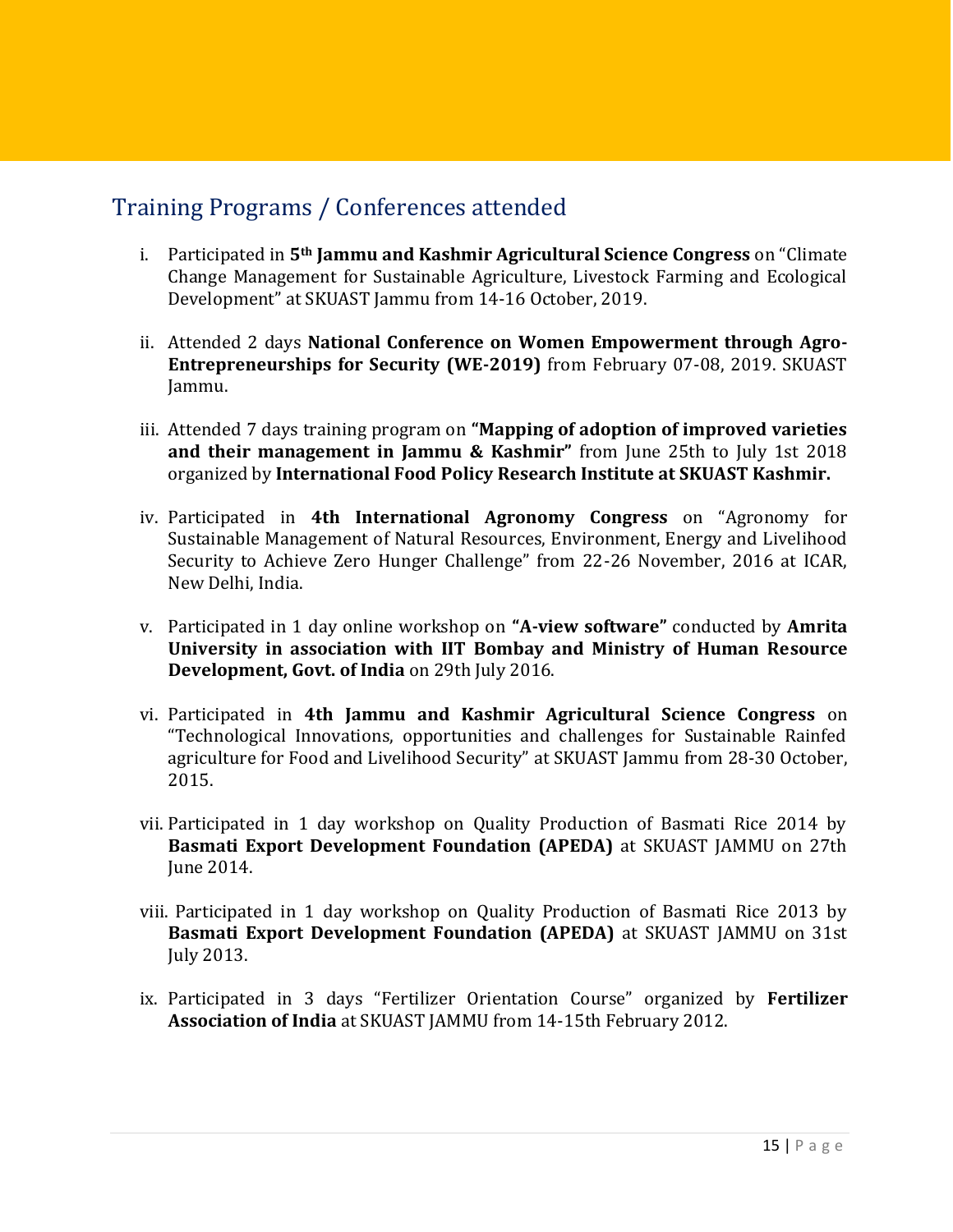#### Training Programs / Conferences attended

- i. Participated in **5th Jammu and Kashmir Agricultural Science Congress** on "Climate Change Management for Sustainable Agriculture, Livestock Farming and Ecological Development" at SKUAST Jammu from 14-16 October, 2019.
- ii. Attended 2 days **National Conference on Women Empowerment through Agro-Entrepreneurships for Security (WE-2019)** from February 07-08, 2019. SKUAST Jammu.
- iii. Attended 7 days training program on **"Mapping of adoption of improved varieties and their management in Jammu & Kashmir"** from June 25th to July 1st 2018 organized by **International Food Policy Research Institute at SKUAST Kashmir.**
- iv. Participated in **4th International Agronomy Congress** on "Agronomy for Sustainable Management of Natural Resources, Environment, Energy and Livelihood Security to Achieve Zero Hunger Challenge" from 22-26 November, 2016 at ICAR, New Delhi, India.
- v. Participated in 1 day online workshop on **"A-view software"** conducted by **Amrita University in association with IIT Bombay and Ministry of Human Resource Development, Govt. of India** on 29th July 2016.
- vi. Participated in **4th Jammu and Kashmir Agricultural Science Congress** on "Technological Innovations, opportunities and challenges for Sustainable Rainfed agriculture for Food and Livelihood Security" at SKUAST Jammu from 28-30 October, 2015.
- vii. Participated in 1 day workshop on Quality Production of Basmati Rice 2014 by **Basmati Export Development Foundation (APEDA)** at SKUAST JAMMU on 27th June 2014.
- viii. Participated in 1 day workshop on Quality Production of Basmati Rice 2013 by **Basmati Export Development Foundation (APEDA)** at SKUAST JAMMU on 31st July 2013.
- ix. Participated in 3 days "Fertilizer Orientation Course" organized by **Fertilizer Association of India** at SKUAST JAMMU from 14-15th February 2012.